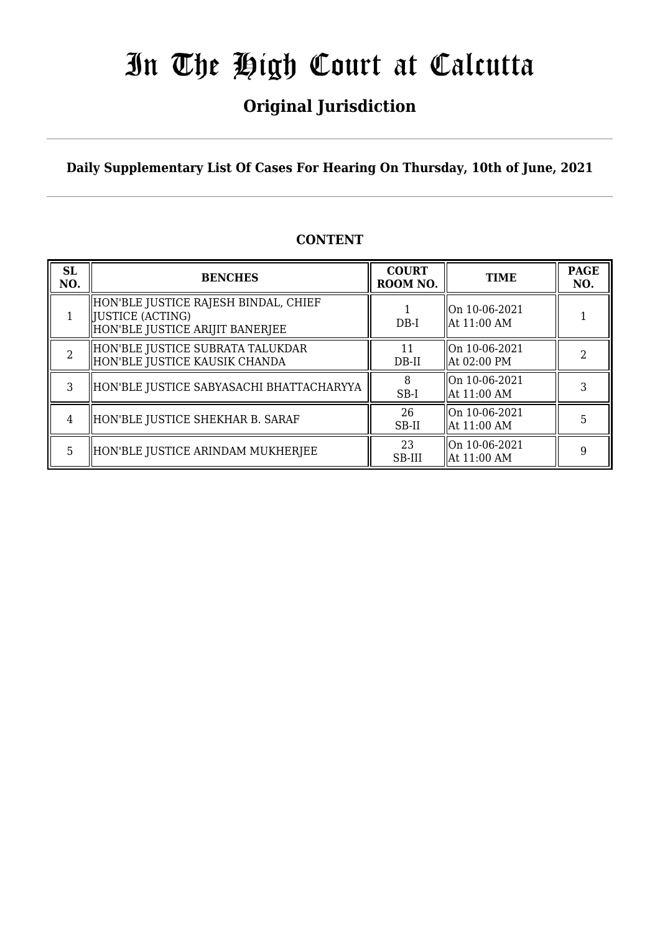## **Original Jurisdiction**

**Daily Supplementary List Of Cases For Hearing On Thursday, 10th of June, 2021**

## **CONTENT**

| <b>SL</b><br>NO. | <b>BENCHES</b>                                                                                | <b>COURT</b><br>ROOM NO. | <b>TIME</b>                              | <b>PAGE</b><br>NO. |
|------------------|-----------------------------------------------------------------------------------------------|--------------------------|------------------------------------------|--------------------|
|                  | HON'BLE JUSTICE RAJESH BINDAL, CHIEF<br>  JUSTICE (ACTING)<br>HON'BLE JUSTICE ARIJIT BANERJEE | $DB-I$                   | On 10-06-2021<br>  At 11:00 AM           |                    |
| $\overline{2}$   | HON'BLE JUSTICE SUBRATA TALUKDAR<br>HON'BLE JUSTICE KAUSIK CHANDA                             | 11<br>DB-II              | On 10-06-2021<br>  At 02:00 PM           |                    |
| 3                | HON'BLE JUSTICE SABYASACHI BHATTACHARYYA                                                      | 8<br>SB-I                | On 10-06-2021<br>$\parallel$ At 11:00 AM |                    |
| 4                | HON'BLE JUSTICE SHEKHAR B. SARAF                                                              | 26<br>SB-II              | On 10-06-2021<br>$\parallel$ At 11:00 AM |                    |
| 5                | HON'BLE JUSTICE ARINDAM MUKHERJEE                                                             | 23<br>SB-III             | On 10-06-2021<br>  At 11:00 AM           | 9                  |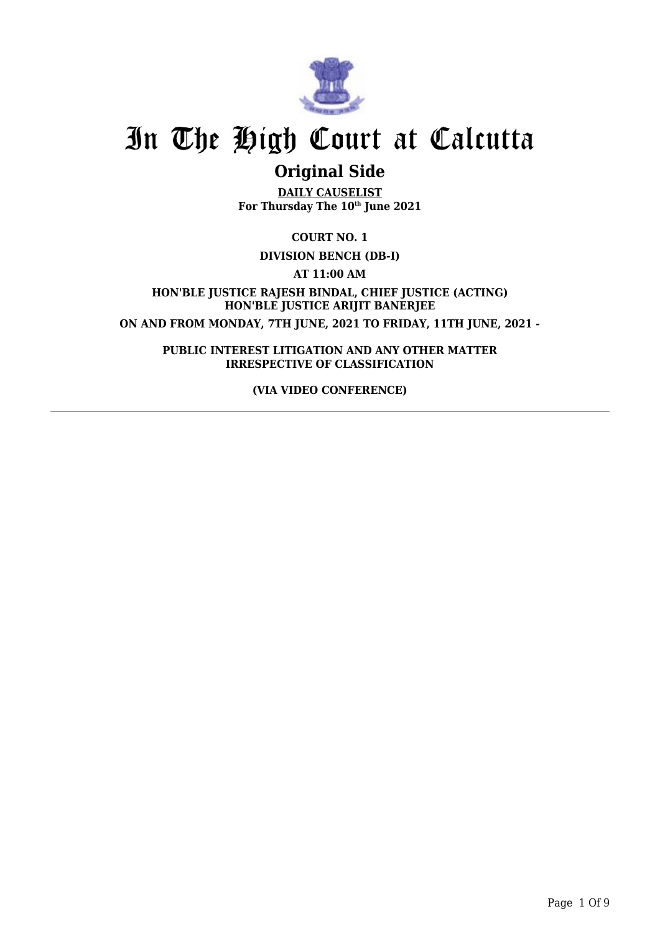

## **Original Side**

**DAILY CAUSELIST For Thursday The 10th June 2021**

**COURT NO. 1**

**DIVISION BENCH (DB-I)**

**AT 11:00 AM**

**HON'BLE JUSTICE RAJESH BINDAL, CHIEF JUSTICE (ACTING) HON'BLE JUSTICE ARIJIT BANERJEE ON AND FROM MONDAY, 7TH JUNE, 2021 TO FRIDAY, 11TH JUNE, 2021 -**

**PUBLIC INTEREST LITIGATION AND ANY OTHER MATTER IRRESPECTIVE OF CLASSIFICATION**

**(VIA VIDEO CONFERENCE)**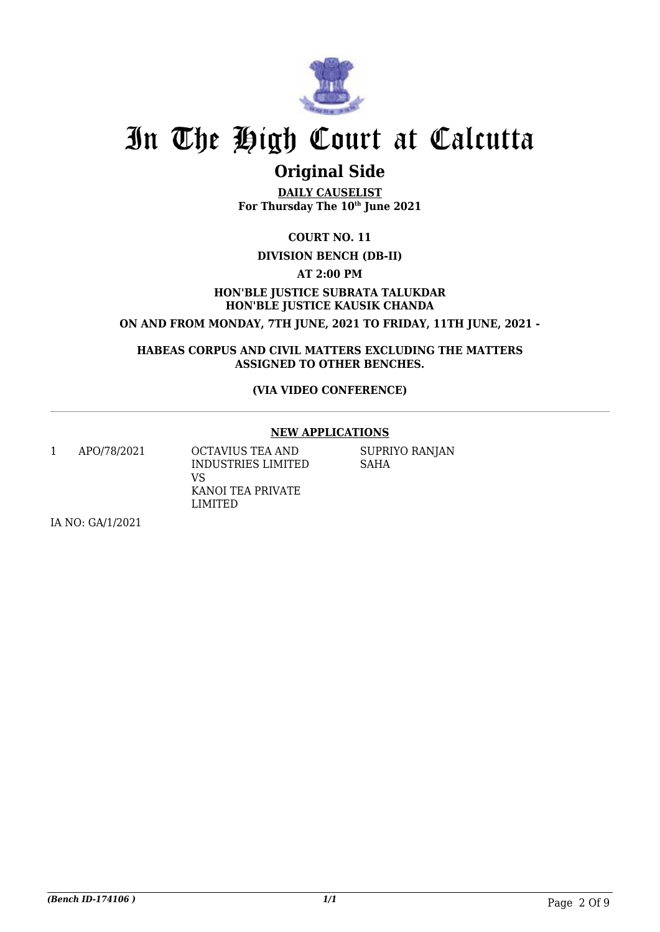

## **Original Side**

**DAILY CAUSELIST For Thursday The 10th June 2021**

**COURT NO. 11**

#### **DIVISION BENCH (DB-II)**

**AT 2:00 PM**

### **HON'BLE JUSTICE SUBRATA TALUKDAR HON'BLE JUSTICE KAUSIK CHANDA**

**ON AND FROM MONDAY, 7TH JUNE, 2021 TO FRIDAY, 11TH JUNE, 2021 -**

**HABEAS CORPUS AND CIVIL MATTERS EXCLUDING THE MATTERS ASSIGNED TO OTHER BENCHES.**

#### **(VIA VIDEO CONFERENCE)**

#### **NEW APPLICATIONS**

1 APO/78/2021 OCTAVIUS TEA AND INDUSTRIES LIMITED VS KANOI TEA PRIVATE LIMITED

SUPRIYO RANJAN SAHA

IA NO: GA/1/2021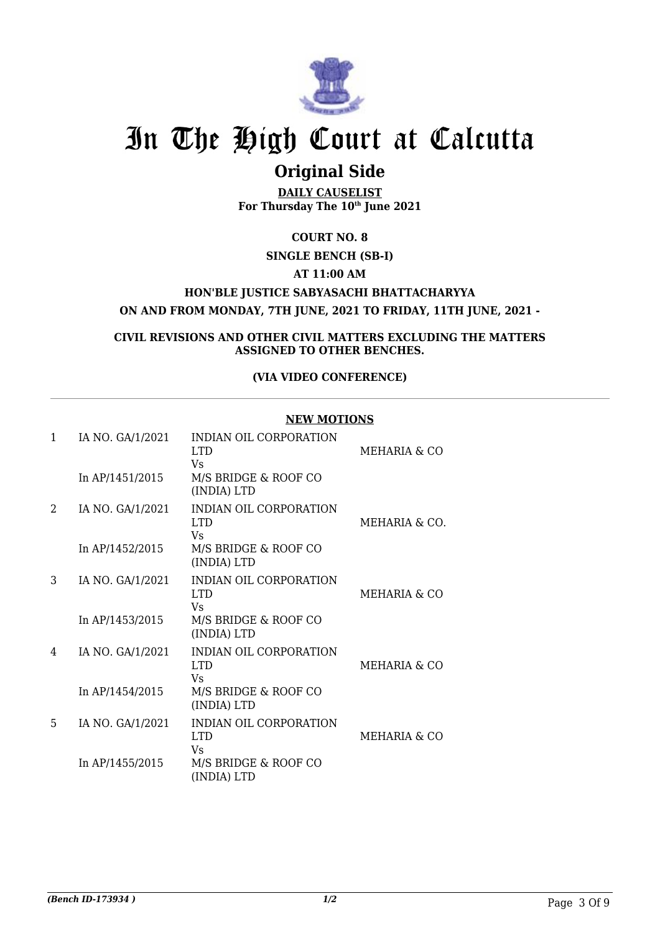

### **Original Side**

**DAILY CAUSELIST For Thursday The 10th June 2021**

**COURT NO. 8**

#### **SINGLE BENCH (SB-I)**

**AT 11:00 AM**

**HON'BLE JUSTICE SABYASACHI BHATTACHARYYA**

**ON AND FROM MONDAY, 7TH JUNE, 2021 TO FRIDAY, 11TH JUNE, 2021 -**

**CIVIL REVISIONS AND OTHER CIVIL MATTERS EXCLUDING THE MATTERS ASSIGNED TO OTHER BENCHES.**

#### **(VIA VIDEO CONFERENCE)**

#### **NEW MOTIONS**

| 1 | IA NO. GA/1/2021 | INDIAN OIL CORPORATION<br>LTD.<br>Vs             | MEHARIA & CO  |
|---|------------------|--------------------------------------------------|---------------|
|   | In AP/1451/2015  | M/S BRIDGE & ROOF CO<br>(INDIA) LTD              |               |
| 2 | IA NO. GA/1/2021 | INDIAN OIL CORPORATION<br>LTD.<br>Vs             | MEHARIA & CO. |
|   | In AP/1452/2015  | M/S BRIDGE & ROOF CO<br>(INDIA) LTD              |               |
| 3 | IA NO. GA/1/2021 | INDIAN OIL CORPORATION<br>LTD.<br>Vs             | MEHARIA & CO  |
|   | In AP/1453/2015  | M/S BRIDGE & ROOF CO<br>(INDIA) LTD              |               |
| 4 | IA NO. GA/1/2021 | <b>INDIAN OIL CORPORATION</b><br>LTD.<br>Vs      | MEHARIA & CO  |
|   | In AP/1454/2015  | M/S BRIDGE & ROOF CO<br>(INDIA) LTD              |               |
| 5 | IA NO. GA/1/2021 | INDIAN OIL CORPORATION<br>LTD <sub>1</sub><br>Vs | MEHARIA & CO  |
|   | In AP/1455/2015  | M/S BRIDGE & ROOF CO<br>(INDIA) LTD              |               |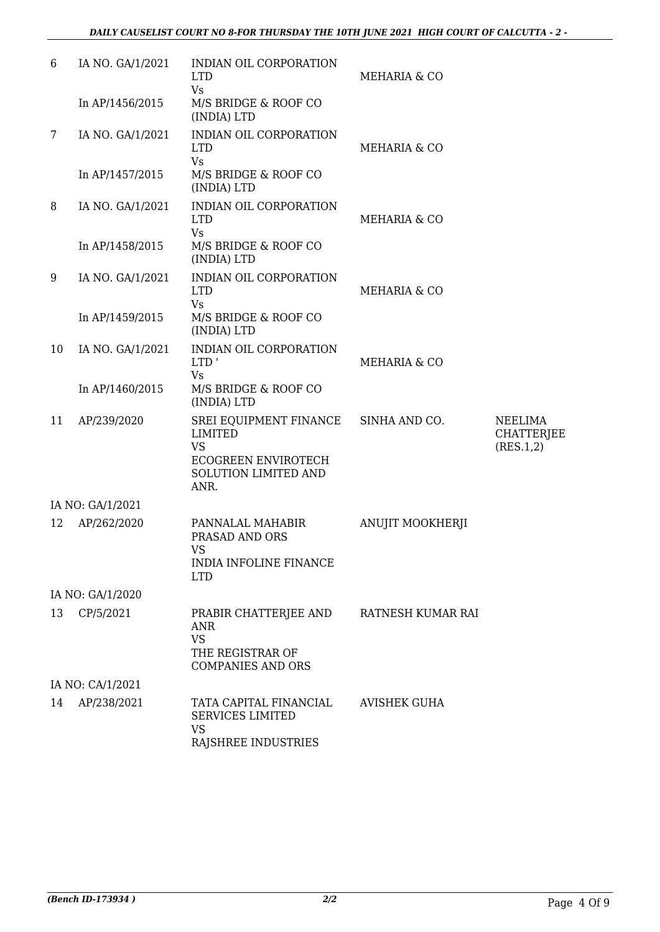| 6              | IA NO. GA/1/2021 | INDIAN OIL CORPORATION<br><b>LTD</b><br><b>Vs</b>                                                            | MEHARIA & CO            |                                           |
|----------------|------------------|--------------------------------------------------------------------------------------------------------------|-------------------------|-------------------------------------------|
|                | In AP/1456/2015  | M/S BRIDGE & ROOF CO<br>(INDIA) LTD                                                                          |                         |                                           |
| $7\phantom{.}$ | IA NO. GA/1/2021 | <b>INDIAN OIL CORPORATION</b><br><b>LTD</b><br><b>Vs</b>                                                     | MEHARIA & CO            |                                           |
|                | In AP/1457/2015  | M/S BRIDGE & ROOF CO<br>(INDIA) LTD                                                                          |                         |                                           |
| 8              | IA NO. GA/1/2021 | INDIAN OIL CORPORATION<br><b>LTD</b><br><b>Vs</b>                                                            | MEHARIA & CO            |                                           |
|                | In AP/1458/2015  | M/S BRIDGE & ROOF CO<br>(INDIA) LTD                                                                          |                         |                                           |
| 9              | IA NO. GA/1/2021 | INDIAN OIL CORPORATION<br><b>LTD</b><br><b>Vs</b>                                                            | MEHARIA & CO            |                                           |
|                | In AP/1459/2015  | M/S BRIDGE & ROOF CO<br>(INDIA) LTD                                                                          |                         |                                           |
| 10             | IA NO. GA/1/2021 | INDIAN OIL CORPORATION<br>LTD'<br><b>Vs</b>                                                                  | MEHARIA & CO            |                                           |
|                | In AP/1460/2015  | M/S BRIDGE & ROOF CO<br>(INDIA) LTD                                                                          |                         |                                           |
| 11             | AP/239/2020      | SREI EQUIPMENT FINANCE<br><b>LIMITED</b><br><b>VS</b><br>ECOGREEN ENVIROTECH<br>SOLUTION LIMITED AND<br>ANR. | SINHA AND CO.           | <b>NEELIMA</b><br>CHATTERJEE<br>(RES.1,2) |
|                | IA NO: GA/1/2021 |                                                                                                              |                         |                                           |
| 12             | AP/262/2020      | PANNALAL MAHABIR<br>PRASAD AND ORS<br>VS.<br>INDIA INFOLINE FINANCE<br><b>LTD</b>                            | <b>ANUJIT MOOKHERJI</b> |                                           |
|                | IA NO: GA/1/2020 |                                                                                                              |                         |                                           |
| 13             | CP/5/2021        | PRABIR CHATTERJEE AND<br><b>ANR</b><br><b>VS</b><br>THE REGISTRAR OF<br><b>COMPANIES AND ORS</b>             | RATNESH KUMAR RAI       |                                           |
|                | IA NO: CA/1/2021 |                                                                                                              |                         |                                           |
| 14             | AP/238/2021      | TATA CAPITAL FINANCIAL<br><b>SERVICES LIMITED</b><br><b>VS</b><br>RAJSHREE INDUSTRIES                        | <b>AVISHEK GUHA</b>     |                                           |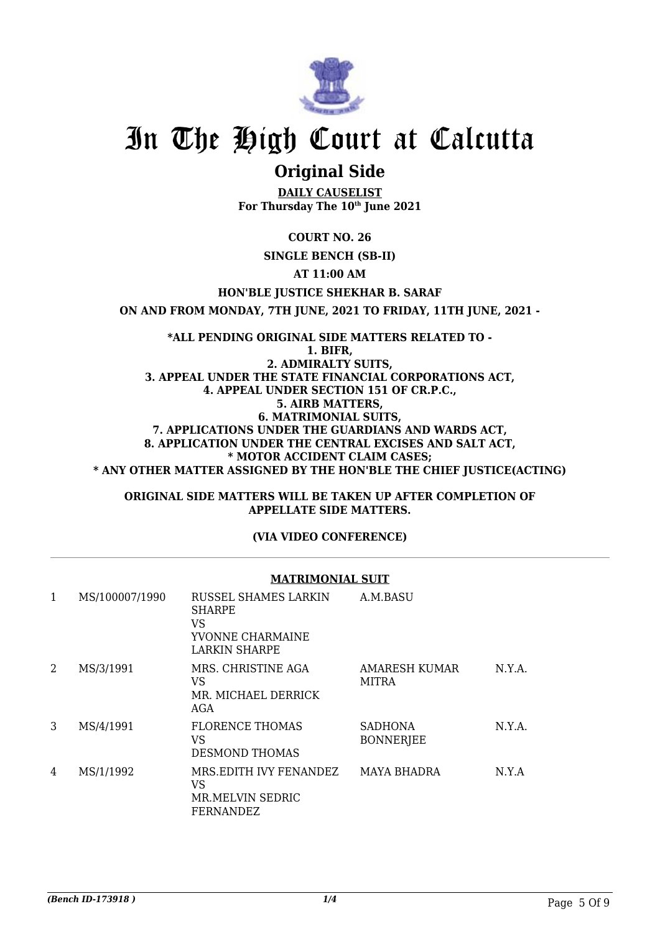

### **Original Side**

**DAILY CAUSELIST For Thursday The 10th June 2021**

**COURT NO. 26**

#### **SINGLE BENCH (SB-II)**

**AT 11:00 AM**

#### **HON'BLE JUSTICE SHEKHAR B. SARAF**

**ON AND FROM MONDAY, 7TH JUNE, 2021 TO FRIDAY, 11TH JUNE, 2021 -**

**\*ALL PENDING ORIGINAL SIDE MATTERS RELATED TO - 1. BIFR, 2. ADMIRALTY SUITS, 3. APPEAL UNDER THE STATE FINANCIAL CORPORATIONS ACT, 4. APPEAL UNDER SECTION 151 OF CR.P.C., 5. AIRB MATTERS, 6. MATRIMONIAL SUITS, 7. APPLICATIONS UNDER THE GUARDIANS AND WARDS ACT, 8. APPLICATION UNDER THE CENTRAL EXCISES AND SALT ACT, \* MOTOR ACCIDENT CLAIM CASES; \* ANY OTHER MATTER ASSIGNED BY THE HON'BLE THE CHIEF JUSTICE(ACTING)**

#### **ORIGINAL SIDE MATTERS WILL BE TAKEN UP AFTER COMPLETION OF APPELLATE SIDE MATTERS.**

#### **(VIA VIDEO CONFERENCE)**

#### **MATRIMONIAL SUIT**

| 1 | MS/100007/1990 | RUSSEL SHAMES LARKIN<br>SHARPE<br><b>VS</b><br>YVONNE CHARMAINE<br>LARKIN SHARPE | A.M.BASU                           |        |
|---|----------------|----------------------------------------------------------------------------------|------------------------------------|--------|
| 2 | MS/3/1991      | MRS. CHRISTINE AGA<br>VS<br>MR. MICHAEL DERRICK<br>AGA                           | AMARESH KUMAR<br><b>MITRA</b>      | N.Y.A. |
| 3 | MS/4/1991      | <b>FLORENCE THOMAS</b><br><b>VS</b><br><b>DESMOND THOMAS</b>                     | <b>SADHONA</b><br><b>BONNERJEE</b> | N.Y.A. |
| 4 | MS/1/1992      | MRS.EDITH IVY FENANDEZ<br><b>VS</b><br>MR MELVIN SEDRIC<br>FERNANDEZ             | <b>MAYA BHADRA</b>                 | N.Y.A  |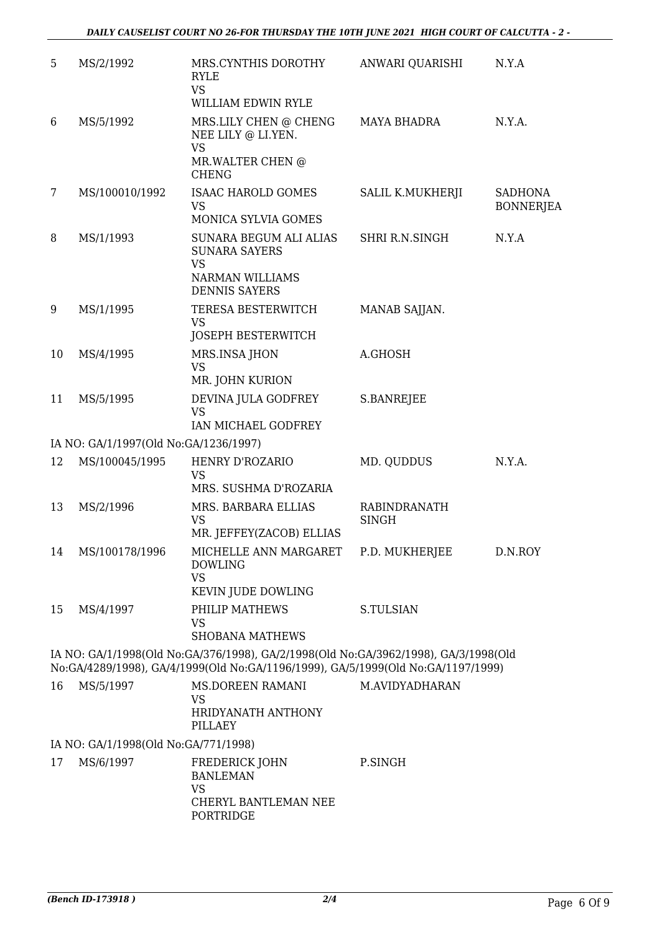| 5  | MS/2/1992                             | MRS.CYNTHIS DOROTHY<br><b>RYLE</b><br><b>VS</b><br>WILLIAM EDWIN RYLE                                                                                                   | ANWARI QUARISHI              | N.Y.A                              |
|----|---------------------------------------|-------------------------------------------------------------------------------------------------------------------------------------------------------------------------|------------------------------|------------------------------------|
| 6  | MS/5/1992                             | MRS.LILY CHEN @ CHENG<br>NEE LILY @ LI.YEN.<br><b>VS</b>                                                                                                                | MAYA BHADRA                  | N.Y.A.                             |
|    |                                       | MR.WALTER CHEN @<br><b>CHENG</b>                                                                                                                                        |                              |                                    |
| 7  | MS/100010/1992                        | ISAAC HAROLD GOMES<br><b>VS</b>                                                                                                                                         | SALIL K.MUKHERJI             | <b>SADHONA</b><br><b>BONNERJEA</b> |
| 8  | MS/1/1993                             | MONICA SYLVIA GOMES<br>SUNARA BEGUM ALI ALIAS<br><b>SUNARA SAYERS</b><br><b>VS</b><br><b>NARMAN WILLIAMS</b><br><b>DENNIS SAYERS</b>                                    | SHRI R.N.SINGH               | N.Y.A                              |
| 9  | MS/1/1995                             | TERESA BESTERWITCH<br><b>VS</b><br><b>JOSEPH BESTERWITCH</b>                                                                                                            | MANAB SAJJAN.                |                                    |
| 10 | MS/4/1995                             | MRS.INSA JHON<br><b>VS</b><br>MR. JOHN KURION                                                                                                                           | A.GHOSH                      |                                    |
| 11 | MS/5/1995                             | DEVINA JULA GODFREY<br><b>VS</b><br>IAN MICHAEL GODFREY                                                                                                                 | S.BANREJEE                   |                                    |
|    | IA NO: GA/1/1997(Old No:GA/1236/1997) |                                                                                                                                                                         |                              |                                    |
| 12 | MS/100045/1995                        | HENRY D'ROZARIO<br><b>VS</b><br>MRS. SUSHMA D'ROZARIA                                                                                                                   | MD. QUDDUS                   | N.Y.A.                             |
| 13 | MS/2/1996                             | MRS. BARBARA ELLIAS<br><b>VS</b><br>MR. JEFFEY(ZACOB) ELLIAS                                                                                                            | RABINDRANATH<br><b>SINGH</b> |                                    |
|    | 14 MS/100178/1996                     | MICHELLE ANN MARGARET P.D. MUKHERJEE<br><b>DOWLING</b><br><b>VS</b><br>KEVIN JUDE DOWLING                                                                               |                              | D.N.ROY                            |
| 15 | MS/4/1997                             | PHILIP MATHEWS<br><b>VS</b><br><b>SHOBANA MATHEWS</b>                                                                                                                   | S.TULSIAN                    |                                    |
|    |                                       | IA NO: GA/1/1998(Old No:GA/376/1998), GA/2/1998(Old No:GA/3962/1998), GA/3/1998(Old<br>No:GA/4289/1998), GA/4/1999(Old No:GA/1196/1999), GA/5/1999(Old No:GA/1197/1999) |                              |                                    |
| 16 | MS/5/1997                             | <b>MS.DOREEN RAMANI</b><br>VS<br>HRIDYANATH ANTHONY<br>PILLAEY                                                                                                          | M.AVIDYADHARAN               |                                    |
|    | IA NO: GA/1/1998(Old No:GA/771/1998)  |                                                                                                                                                                         |                              |                                    |
| 17 | MS/6/1997                             | FREDERICK JOHN<br><b>BANLEMAN</b><br><b>VS</b><br>CHERYL BANTLEMAN NEE                                                                                                  | P.SINGH                      |                                    |
|    |                                       | PORTRIDGE                                                                                                                                                               |                              |                                    |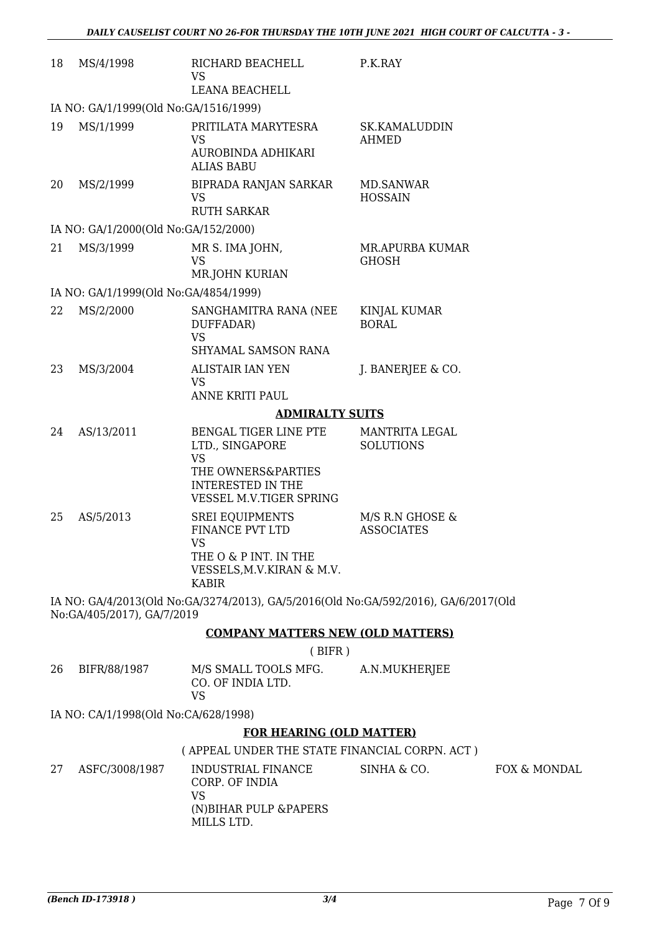| 18 | MS/4/1998                             | RICHARD BEACHELL<br>VS.<br><b>LEANA BEACHELL</b>                                                                                   | P.K.RAY                              |
|----|---------------------------------------|------------------------------------------------------------------------------------------------------------------------------------|--------------------------------------|
|    | IA NO: GA/1/1999(Old No:GA/1516/1999) |                                                                                                                                    |                                      |
| 19 | MS/1/1999                             | PRITILATA MARYTESRA<br>VS<br>AUROBINDA ADHIKARI<br><b>ALIAS BABU</b>                                                               | SK.KAMALUDDIN<br><b>AHMED</b>        |
| 20 | MS/2/1999                             | BIPRADA RANJAN SARKAR<br>VS<br><b>RUTH SARKAR</b>                                                                                  | <b>MD.SANWAR</b><br><b>HOSSAIN</b>   |
|    | IA NO: GA/1/2000(Old No:GA/152/2000)  |                                                                                                                                    |                                      |
| 21 | MS/3/1999                             | MR S. IMA JOHN,<br>VS<br>MR.JOHN KURIAN                                                                                            | MR.APURBA KUMAR<br><b>GHOSH</b>      |
|    | IA NO: GA/1/1999(Old No:GA/4854/1999) |                                                                                                                                    |                                      |
| 22 | MS/2/2000                             | SANGHAMITRA RANA (NEE<br>DUFFADAR)<br>VS<br>SHYAMAL SAMSON RANA                                                                    | KINJAL KUMAR<br><b>BORAL</b>         |
| 23 | MS/3/2004                             | <b>ALISTAIR IAN YEN</b><br>VS <sub>1</sub><br>ANNE KRITI PAUL                                                                      | J. BANERJEE & CO.                    |
|    |                                       | <b>ADMIRALTY SUITS</b>                                                                                                             |                                      |
| 24 | AS/13/2011                            | BENGAL TIGER LINE PTE<br>LTD., SINGAPORE<br><b>VS</b><br>THE OWNERS&PARTIES<br><b>INTERESTED IN THE</b><br>VESSEL M.V.TIGER SPRING | MANTRITA LEGAL<br><b>SOLUTIONS</b>   |
| 25 | AS/5/2013                             | <b>SREI EQUIPMENTS</b><br>FINANCE PVT LTD<br><b>VS</b><br>THE O & P INT. IN THE<br>VESSELS, M.V. KIRAN & M.V.<br><b>KABIR</b>      | M/S R.N GHOSE &<br><b>ASSOCIATES</b> |
|    |                                       | IA NO: GA/4/2013(Old No:GA/3274/2013), GA/5/2016(Old No:GA/592/2016), GA/6/2017(Old                                                |                                      |

No:GA/405/2017), GA/7/2019

#### **COMPANY MATTERS NEW (OLD MATTERS)**

( BIFR )

| 26 | BIFR/88/1987 | M/S SMALL TOOLS MFG. | A.N.MUKHERJEE |
|----|--------------|----------------------|---------------|
|    |              | CO. OF INDIA LTD.    |               |
|    |              | VS.                  |               |

IA NO: CA/1/1998(Old No:CA/628/1998)

#### **FOR HEARING (OLD MATTER)**

#### ( APPEAL UNDER THE STATE FINANCIAL CORPN. ACT )

| 27 | ASFC/3008/1987 | INDUSTRIAL FINANCE<br>CORP. OF INDIA<br>VS<br>(N)BIHAR PULP &PAPERS | SINHA & CO. | FOX & MONDAL |
|----|----------------|---------------------------------------------------------------------|-------------|--------------|
|    |                | MILLS LTD.                                                          |             |              |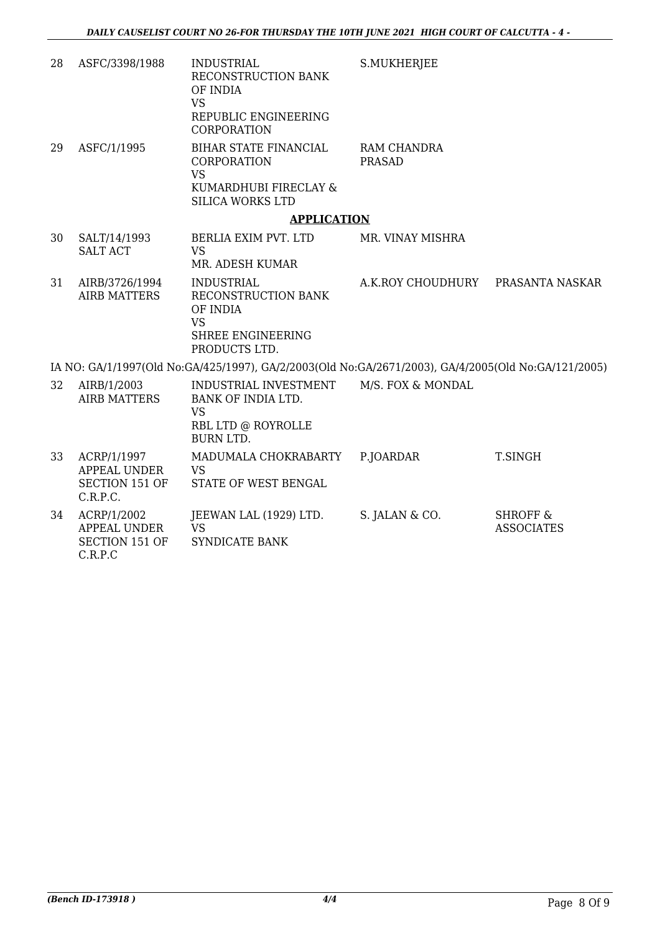| 28 | ASFC/3398/1988                                            | <b>INDUSTRIAL</b><br>RECONSTRUCTION BANK<br>OF INDIA<br><b>VS</b><br>REPUBLIC ENGINEERING<br>CORPORATION     | S.MUKHERJEE                  |                                          |
|----|-----------------------------------------------------------|--------------------------------------------------------------------------------------------------------------|------------------------------|------------------------------------------|
| 29 | ASFC/1/1995                                               | BIHAR STATE FINANCIAL<br><b>CORPORATION</b><br><b>VS</b><br>KUMARDHUBI FIRECLAY &<br><b>SILICA WORKS LTD</b> | RAM CHANDRA<br><b>PRASAD</b> |                                          |
|    |                                                           | <b>APPLICATION</b>                                                                                           |                              |                                          |
| 30 | SALT/14/1993<br><b>SALT ACT</b>                           | BERLIA EXIM PVT. LTD<br><b>VS</b><br>MR. ADESH KUMAR                                                         | MR. VINAY MISHRA             |                                          |
| 31 | AIRB/3726/1994<br><b>AIRB MATTERS</b>                     | <b>INDUSTRIAL</b><br>RECONSTRUCTION BANK<br>OF INDIA<br><b>VS</b><br>SHREE ENGINEERING<br>PRODUCTS LTD.      | A.K.ROY CHOUDHURY            | PRASANTA NASKAR                          |
|    |                                                           | IA NO: GA/1/1997(Old No:GA/425/1997), GA/2/2003(Old No:GA/2671/2003), GA/4/2005(Old No:GA/121/2005)          |                              |                                          |
| 32 | AIRB/1/2003<br><b>AIRB MATTERS</b>                        | INDUSTRIAL INVESTMENT<br>BANK OF INDIA LTD.<br><b>VS</b><br>RBL LTD @ ROYROLLE<br><b>BURN LTD.</b>           | M/S. FOX & MONDAL            |                                          |
| 33 | ACRP/1/1997<br>APPEAL UNDER<br>SECTION 151 OF<br>C.R.P.C. | MADUMALA CHOKRABARTY<br><b>VS</b><br>STATE OF WEST BENGAL                                                    | P.JOARDAR                    | T.SINGH                                  |
| 34 | ACRP/1/2002<br><b>APPEAL UNDER</b>                        | JEEWAN LAL (1929) LTD.<br><b>VS</b>                                                                          | S. JALAN & CO.               | <b>SHROFF &amp;</b><br><b>ASSOCIATES</b> |

SECTION 151 OF

SYNDICATE BANK

C.R.P.C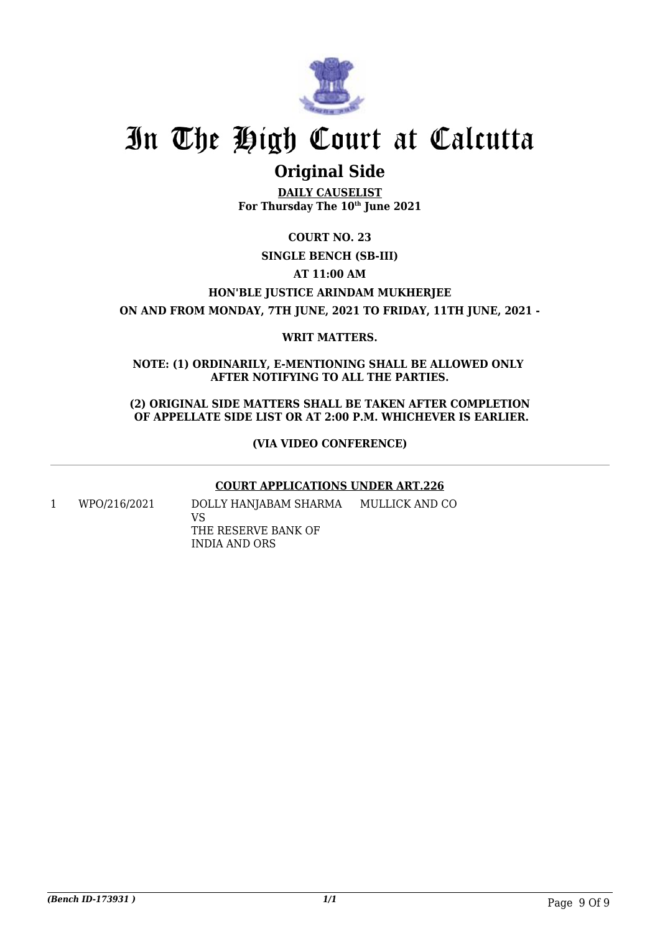

### **Original Side**

**DAILY CAUSELIST For Thursday The 10th June 2021**

**COURT NO. 23 SINGLE BENCH (SB-III) AT 11:00 AM HON'BLE JUSTICE ARINDAM MUKHERJEE ON AND FROM MONDAY, 7TH JUNE, 2021 TO FRIDAY, 11TH JUNE, 2021 -**

#### **WRIT MATTERS.**

**NOTE: (1) ORDINARILY, E-MENTIONING SHALL BE ALLOWED ONLY AFTER NOTIFYING TO ALL THE PARTIES.**

**(2) ORIGINAL SIDE MATTERS SHALL BE TAKEN AFTER COMPLETION OF APPELLATE SIDE LIST OR AT 2:00 P.M. WHICHEVER IS EARLIER.**

**(VIA VIDEO CONFERENCE)**

#### **COURT APPLICATIONS UNDER ART.226**

1 WPO/216/2021 DOLLY HANJABAM SHARMA VS THE RESERVE BANK OF MULLICK AND CO

INDIA AND ORS